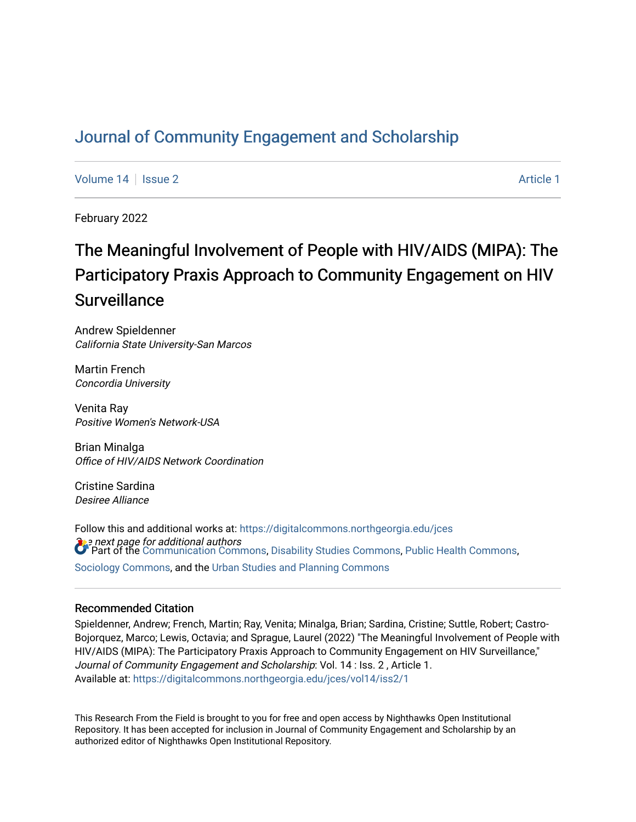# [Journal of Community Engagement and Scholarship](https://digitalcommons.northgeorgia.edu/jces)

[Volume 14](https://digitalcommons.northgeorgia.edu/jces/vol14) Susue 2 [Article 1](https://digitalcommons.northgeorgia.edu/jces/vol14/iss2/1) Article 1 Article 1

February 2022

# The Meaningful Involvement of People with HIV/AIDS (MIPA): The Participatory Praxis Approach to Community Engagement on HIV **Surveillance**

Andrew Spieldenner California State University-San Marcos

Martin French Concordia University

Venita Ray Positive Women's Network-USA

Brian Minalga Office of HIV/AIDS Network Coordination

Cristine Sardina Desiree Alliance

 $\Omega$ e next page for additional authors<br>Copert of the [Communication Commons,](http://network.bepress.com/hgg/discipline/325?utm_source=digitalcommons.northgeorgia.edu%2Fjces%2Fvol14%2Fiss2%2F1&utm_medium=PDF&utm_campaign=PDFCoverPages) [Disability Studies Commons,](http://network.bepress.com/hgg/discipline/1417?utm_source=digitalcommons.northgeorgia.edu%2Fjces%2Fvol14%2Fiss2%2F1&utm_medium=PDF&utm_campaign=PDFCoverPages) [Public Health Commons,](http://network.bepress.com/hgg/discipline/738?utm_source=digitalcommons.northgeorgia.edu%2Fjces%2Fvol14%2Fiss2%2F1&utm_medium=PDF&utm_campaign=PDFCoverPages) Follow this and additional works at: [https://digitalcommons.northgeorgia.edu/jces](https://digitalcommons.northgeorgia.edu/jces?utm_source=digitalcommons.northgeorgia.edu%2Fjces%2Fvol14%2Fiss2%2F1&utm_medium=PDF&utm_campaign=PDFCoverPages) [Sociology Commons](http://network.bepress.com/hgg/discipline/416?utm_source=digitalcommons.northgeorgia.edu%2Fjces%2Fvol14%2Fiss2%2F1&utm_medium=PDF&utm_campaign=PDFCoverPages), and the [Urban Studies and Planning Commons](http://network.bepress.com/hgg/discipline/436?utm_source=digitalcommons.northgeorgia.edu%2Fjces%2Fvol14%2Fiss2%2F1&utm_medium=PDF&utm_campaign=PDFCoverPages)

## Recommended Citation

Spieldenner, Andrew; French, Martin; Ray, Venita; Minalga, Brian; Sardina, Cristine; Suttle, Robert; Castro-Bojorquez, Marco; Lewis, Octavia; and Sprague, Laurel (2022) "The Meaningful Involvement of People with HIV/AIDS (MIPA): The Participatory Praxis Approach to Community Engagement on HIV Surveillance," Journal of Community Engagement and Scholarship: Vol. 14 : Iss. 2 , Article 1. Available at: [https://digitalcommons.northgeorgia.edu/jces/vol14/iss2/1](https://digitalcommons.northgeorgia.edu/jces/vol14/iss2/1?utm_source=digitalcommons.northgeorgia.edu%2Fjces%2Fvol14%2Fiss2%2F1&utm_medium=PDF&utm_campaign=PDFCoverPages) 

This Research From the Field is brought to you for free and open access by Nighthawks Open Institutional Repository. It has been accepted for inclusion in Journal of Community Engagement and Scholarship by an authorized editor of Nighthawks Open Institutional Repository.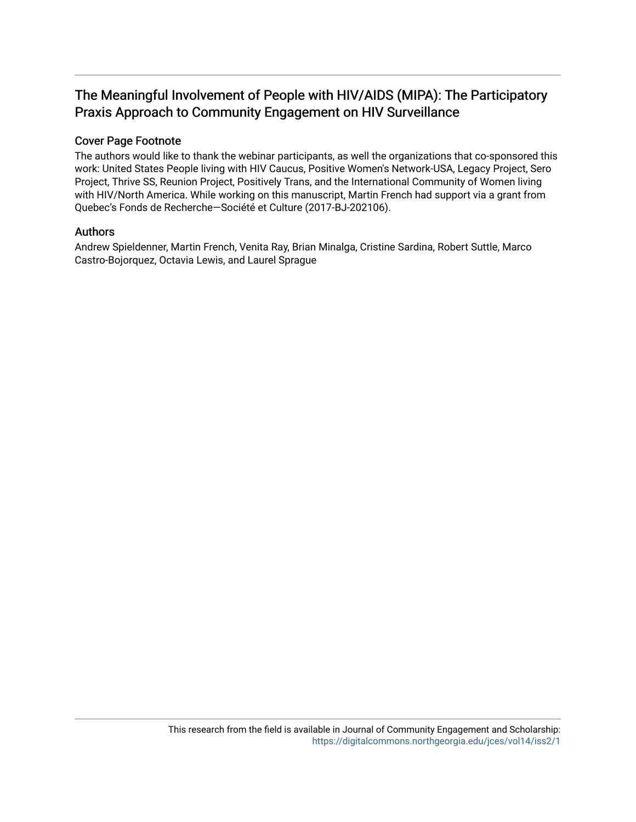# The Meaningful Involvement of People with HIV/AIDS (MIPA): The Participatory Praxis Approach to Community Engagement on HIV Surveillance

# Cover Page Footnote

The authors would like to thank the webinar participants, as well the organizations that co-sponsored this work: United States People living with HIV Caucus, Positive Women's Network-USA, Legacy Project, Sero Project, Thrive SS, Reunion Project, Positively Trans, and the International Community of Women living with HIV/North America. While working on this manuscript, Martin French had support via a grant from Quebec's Fonds de Recherche—Société et Culture (2017-BJ-202106).

# Authors

Andrew Spieldenner, Martin French, Venita Ray, Brian Minalga, Cristine Sardina, Robert Suttle, Marco Castro-Bojorquez, Octavia Lewis, and Laurel Sprague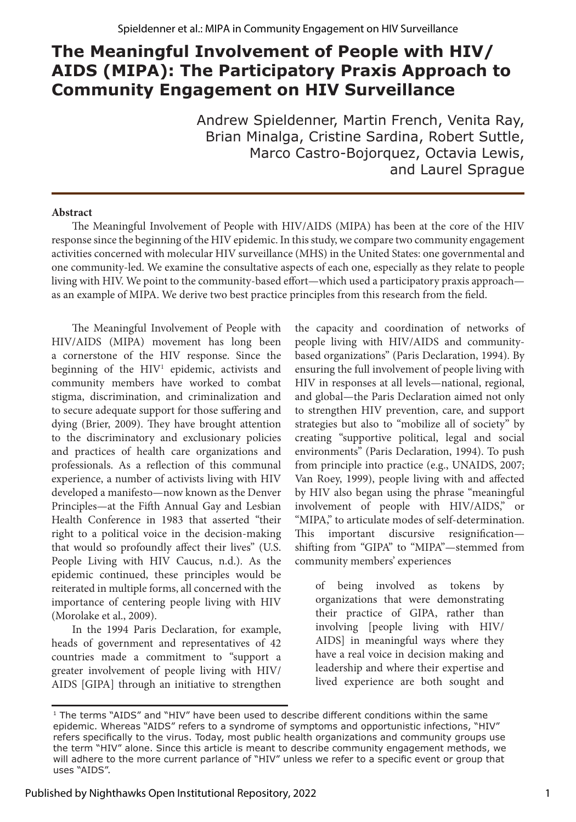# **The Meaningful Involvement of People with HIV/ AIDS (MIPA): The Participatory Praxis Approach to Community Engagement on HIV Surveillance**

Andrew Spieldenner, Martin French, Venita Ray, Brian Minalga, Cristine Sardina, Robert Suttle, Marco Castro-Bojorquez, Octavia Lewis, and Laurel Sprague

## **Abstract**

The Meaningful Involvement of People with HIV/AIDS (MIPA) has been at the core of the HIV response since the beginning of the HIV epidemic. In this study, we compare two community engagement activities concerned with molecular HIV surveillance (MHS) in the United States: one governmental and one community-led. We examine the consultative aspects of each one, especially as they relate to people living with HIV. We point to the community-based effort—which used a participatory praxis approach as an example of MIPA. We derive two best practice principles from this research from the field.

The Meaningful Involvement of People with HIV/AIDS (MIPA) movement has long been a cornerstone of the HIV response. Since the beginning of the HIV<sup>1</sup> epidemic, activists and community members have worked to combat stigma, discrimination, and criminalization and to secure adequate support for those suffering and dying (Brier, 2009). They have brought attention to the discriminatory and exclusionary policies and practices of health care organizations and professionals. As a reflection of this communal experience, a number of activists living with HIV developed a manifesto—now known as the Denver Principles—at the Fifth Annual Gay and Lesbian Health Conference in 1983 that asserted "their right to a political voice in the decision-making that would so profoundly affect their lives" (U.S. People Living with HIV Caucus, n.d.). As the epidemic continued, these principles would be reiterated in multiple forms, all concerned with the importance of centering people living with HIV (Morolake et al., 2009).

In the 1994 Paris Declaration, for example, heads of government and representatives of 42 countries made a commitment to "support a greater involvement of people living with HIV/ AIDS [GIPA] through an initiative to strengthen the capacity and coordination of networks of people living with HIV/AIDS and communitybased organizations" (Paris Declaration, 1994). By ensuring the full involvement of people living with HIV in responses at all levels—national, regional, and global—the Paris Declaration aimed not only to strengthen HIV prevention, care, and support strategies but also to "mobilize all of society" by creating "supportive political, legal and social environments" (Paris Declaration, 1994). To push from principle into practice (e.g., UNAIDS, 2007; Van Roey, 1999), people living with and affected by HIV also began using the phrase "meaningful involvement of people with HIV/AIDS," or "MIPA," to articulate modes of self-determination. This important discursive resignification shifting from "GIPA" to "MIPA"—stemmed from community members' experiences

of being involved as tokens by organizations that were demonstrating their practice of GIPA, rather than involving [people living with HIV/ AIDS] in meaningful ways where they have a real voice in decision making and leadership and where their expertise and lived experience are both sought and

<sup>&</sup>lt;sup>1</sup> The terms "AIDS" and "HIV" have been used to describe different conditions within the same epidemic. Whereas "AIDS" refers to a syndrome of symptoms and opportunistic infections, "HIV" refers specifically to the virus. Today, most public health organizations and community groups use the term "HIV" alone. Since this article is meant to describe community engagement methods, we will adhere to the more current parlance of "HIV" unless we refer to a specific event or group that uses "AIDS".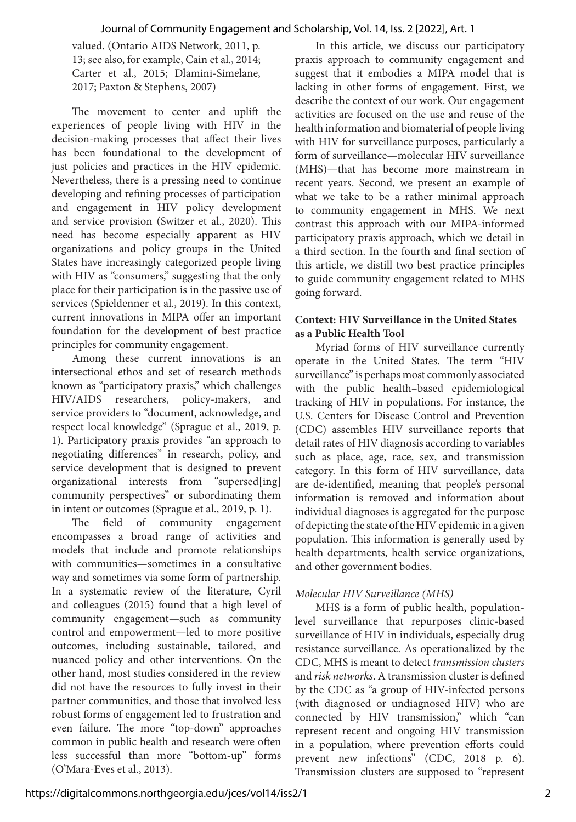#### Journal of Community Engagement and Scholarship, Vol. 14, Iss. 2 [2022], Art. 1

valued. (Ontario AIDS Network, 2011, p. 13; see also, for example, Cain et al., 2014; Carter et al., 2015; Dlamini-Simelane, 2017; Paxton & Stephens, 2007)

The movement to center and uplift the experiences of people living with HIV in the decision-making processes that affect their lives has been foundational to the development of just policies and practices in the HIV epidemic. Nevertheless, there is a pressing need to continue developing and refining processes of participation and engagement in HIV policy development and service provision (Switzer et al., 2020). This need has become especially apparent as HIV organizations and policy groups in the United States have increasingly categorized people living with HIV as "consumers," suggesting that the only place for their participation is in the passive use of services (Spieldenner et al., 2019). In this context, current innovations in MIPA offer an important foundation for the development of best practice principles for community engagement.

Among these current innovations is an intersectional ethos and set of research methods known as "participatory praxis," which challenges HIV/AIDS researchers, policy-makers, and service providers to "document, acknowledge, and respect local knowledge" (Sprague et al., 2019, p. 1). Participatory praxis provides "an approach to negotiating differences" in research, policy, and service development that is designed to prevent organizational interests from "supersed[ing] community perspectives" or subordinating them in intent or outcomes (Sprague et al., 2019, p. 1).

The field of community engagement encompasses a broad range of activities and models that include and promote relationships with communities—sometimes in a consultative way and sometimes via some form of partnership. In a systematic review of the literature, Cyril and colleagues (2015) found that a high level of community engagement—such as community control and empowerment—led to more positive outcomes, including sustainable, tailored, and nuanced policy and other interventions. On the other hand, most studies considered in the review did not have the resources to fully invest in their partner communities, and those that involved less robust forms of engagement led to frustration and even failure. The more "top-down" approaches common in public health and research were often less successful than more "bottom-up" forms (O'Mara-Eves et al., 2013).

In this article, we discuss our participatory praxis approach to community engagement and suggest that it embodies a MIPA model that is lacking in other forms of engagement. First, we describe the context of our work. Our engagement activities are focused on the use and reuse of the health information and biomaterial of people living with HIV for surveillance purposes, particularly a form of surveillance—molecular HIV surveillance (MHS)—that has become more mainstream in recent years. Second, we present an example of what we take to be a rather minimal approach to community engagement in MHS. We next contrast this approach with our MIPA-informed participatory praxis approach, which we detail in a third section. In the fourth and final section of this article, we distill two best practice principles to guide community engagement related to MHS going forward.

#### **Context: HIV Surveillance in the United States as a Public Health Tool**

Myriad forms of HIV surveillance currently operate in the United States. The term "HIV surveillance" is perhaps most commonly associated with the public health–based epidemiological tracking of HIV in populations. For instance, the U.S. Centers for Disease Control and Prevention (CDC) assembles HIV surveillance reports that detail rates of HIV diagnosis according to variables such as place, age, race, sex, and transmission category. In this form of HIV surveillance, data are de-identified, meaning that people's personal information is removed and information about individual diagnoses is aggregated for the purpose of depicting the state of the HIV epidemic in a given population. This information is generally used by health departments, health service organizations, and other government bodies.

#### *Molecular HIV Surveillance (MHS)*

MHS is a form of public health, populationlevel surveillance that repurposes clinic-based surveillance of HIV in individuals, especially drug resistance surveillance. As operationalized by the CDC, MHS is meant to detect *transmission clusters* and *risk networks*. A transmission cluster is defined by the CDC as "a group of HIV-infected persons (with diagnosed or undiagnosed HIV) who are connected by HIV transmission," which "can represent recent and ongoing HIV transmission in a population, where prevention efforts could prevent new infections" (CDC, 2018 p. 6). Transmission clusters are supposed to "represent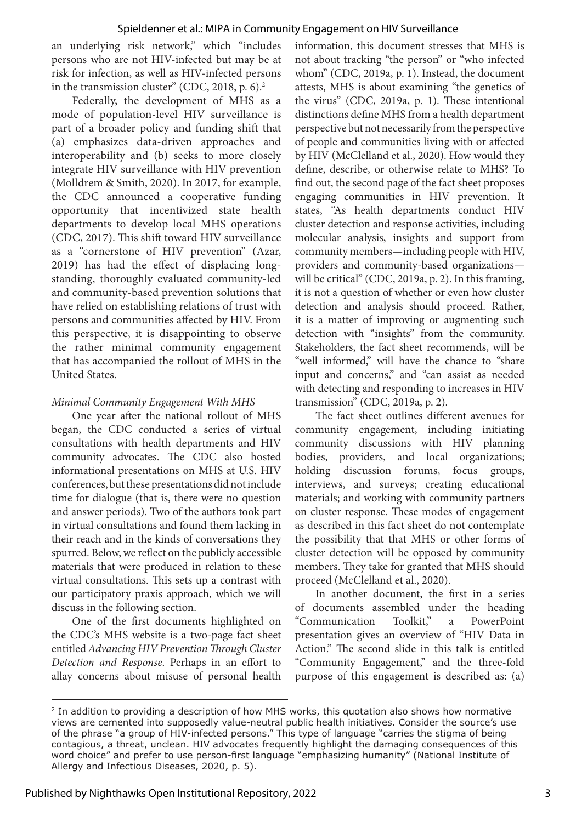an underlying risk network," which "includes persons who are not HIV-infected but may be at risk for infection, as well as HIV-infected persons in the transmission cluster" (CDC, 2018, p. 6).<sup>2</sup>

Federally, the development of MHS as a mode of population-level HIV surveillance is part of a broader policy and funding shift that (a) emphasizes data-driven approaches and interoperability and (b) seeks to more closely integrate HIV surveillance with HIV prevention (Molldrem & Smith, 2020). In 2017, for example, the CDC announced a cooperative funding opportunity that incentivized state health departments to develop local MHS operations (CDC, 2017). This shift toward HIV surveillance as a "cornerstone of HIV prevention" (Azar, 2019) has had the effect of displacing longstanding, thoroughly evaluated community-led and community-based prevention solutions that have relied on establishing relations of trust with persons and communities affected by HIV. From this perspective, it is disappointing to observe the rather minimal community engagement that has accompanied the rollout of MHS in the United States.

# *Minimal Community Engagement With MHS*

One year after the national rollout of MHS began, the CDC conducted a series of virtual consultations with health departments and HIV community advocates. The CDC also hosted informational presentations on MHS at U.S. HIV conferences, but these presentations did not include time for dialogue (that is, there were no question and answer periods). Two of the authors took part in virtual consultations and found them lacking in their reach and in the kinds of conversations they spurred. Below, we reflect on the publicly accessible materials that were produced in relation to these virtual consultations. This sets up a contrast with our participatory praxis approach, which we will discuss in the following section.

One of the first documents highlighted on the CDC's MHS website is a two-page fact sheet entitled *Advancing HIV Prevention Through Cluster Detection and Response*. Perhaps in an effort to allay concerns about misuse of personal health information, this document stresses that MHS is not about tracking "the person" or "who infected whom" (CDC, 2019a, p. 1). Instead, the document attests, MHS is about examining "the genetics of the virus" (CDC, 2019a, p. 1). These intentional distinctions define MHS from a health department perspective but not necessarily from the perspective of people and communities living with or affected by HIV (McClelland et al., 2020). How would they define, describe, or otherwise relate to MHS? To find out, the second page of the fact sheet proposes engaging communities in HIV prevention. It states, "As health departments conduct HIV cluster detection and response activities, including molecular analysis, insights and support from community members—including people with HIV, providers and community-based organizations will be critical" (CDC, 2019a, p. 2). In this framing, it is not a question of whether or even how cluster detection and analysis should proceed. Rather, it is a matter of improving or augmenting such detection with "insights" from the community. Stakeholders, the fact sheet recommends, will be "well informed," will have the chance to "share input and concerns," and "can assist as needed with detecting and responding to increases in HIV transmission" (CDC, 2019a, p. 2).

The fact sheet outlines different avenues for community engagement, including initiating community discussions with HIV planning bodies, providers, and local organizations; holding discussion forums, focus groups, interviews, and surveys; creating educational materials; and working with community partners on cluster response. These modes of engagement as described in this fact sheet do not contemplate the possibility that that MHS or other forms of cluster detection will be opposed by community members. They take for granted that MHS should proceed (McClelland et al., 2020).

In another document, the first in a series of documents assembled under the heading "Communication Toolkit," a PowerPoint presentation gives an overview of "HIV Data in Action." The second slide in this talk is entitled "Community Engagement," and the three-fold purpose of this engagement is described as: (a)

<sup>&</sup>lt;sup>2</sup> In addition to providing a description of how MHS works, this quotation also shows how normative views are cemented into supposedly value-neutral public health initiatives. Consider the source's use of the phrase "a group of HIV-infected persons." This type of language "carries the stigma of being contagious, a threat, unclean. HIV advocates frequently highlight the damaging consequences of this word choice" and prefer to use person-first language "emphasizing humanity" (National Institute of Allergy and Infectious Diseases, 2020, p. 5).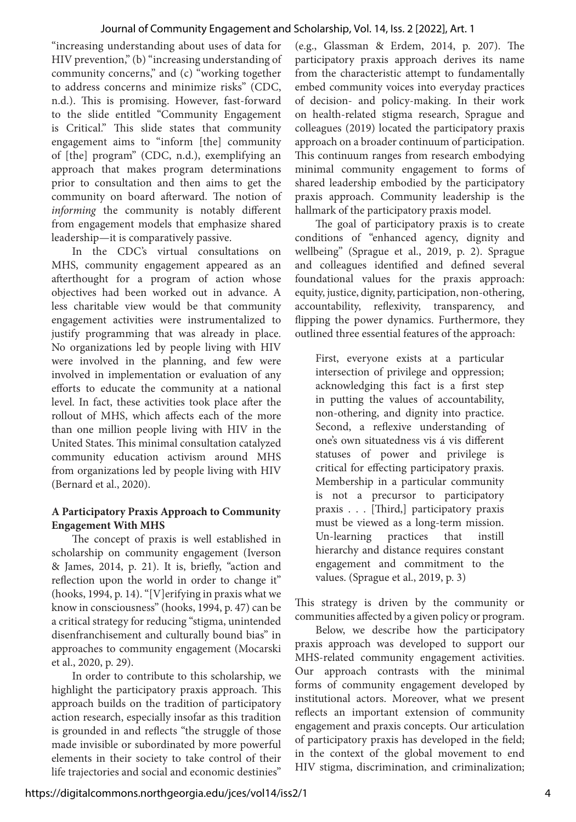#### Journal of Community Engagement and Scholarship, Vol. 14, Iss. 2 [2022], Art. 1

"increasing understanding about uses of data for HIV prevention," (b) "increasing understanding of community concerns," and (c) "working together to address concerns and minimize risks" (CDC, n.d.). This is promising. However, fast-forward to the slide entitled "Community Engagement is Critical." This slide states that community engagement aims to "inform [the] community of [the] program" (CDC, n.d.), exemplifying an approach that makes program determinations prior to consultation and then aims to get the community on board afterward. The notion of *informing* the community is notably different from engagement models that emphasize shared leadership—it is comparatively passive.

In the CDC's virtual consultations on MHS, community engagement appeared as an afterthought for a program of action whose objectives had been worked out in advance. A less charitable view would be that community engagement activities were instrumentalized to justify programming that was already in place. No organizations led by people living with HIV were involved in the planning, and few were involved in implementation or evaluation of any efforts to educate the community at a national level. In fact, these activities took place after the rollout of MHS, which affects each of the more than one million people living with HIV in the United States. This minimal consultation catalyzed community education activism around MHS from organizations led by people living with HIV (Bernard et al., 2020).

# **A Participatory Praxis Approach to Community Engagement With MHS**

The concept of praxis is well established in scholarship on community engagement (Iverson & James, 2014, p. 21). It is, briefly, "action and reflection upon the world in order to change it" (hooks, 1994, p. 14). "[V]erifying in praxis what we know in consciousness" (hooks, 1994, p. 47) can be a critical strategy for reducing "stigma, unintended disenfranchisement and culturally bound bias" in approaches to community engagement (Mocarski et al., 2020, p. 29).

In order to contribute to this scholarship, we highlight the participatory praxis approach. This approach builds on the tradition of participatory action research, especially insofar as this tradition is grounded in and reflects "the struggle of those made invisible or subordinated by more powerful elements in their society to take control of their life trajectories and social and economic destinies" (e.g., Glassman & Erdem, 2014, p. 207). The participatory praxis approach derives its name from the characteristic attempt to fundamentally embed community voices into everyday practices of decision- and policy-making. In their work on health-related stigma research, Sprague and colleagues (2019) located the participatory praxis approach on a broader continuum of participation. This continuum ranges from research embodying minimal community engagement to forms of shared leadership embodied by the participatory praxis approach. Community leadership is the hallmark of the participatory praxis model.

The goal of participatory praxis is to create conditions of "enhanced agency, dignity and wellbeing" (Sprague et al., 2019, p. 2). Sprague and colleagues identified and defined several foundational values for the praxis approach: equity, justice, dignity, participation, non-othering, accountability, reflexivity, transparency, and flipping the power dynamics. Furthermore, they outlined three essential features of the approach:

First, everyone exists at a particular intersection of privilege and oppression; acknowledging this fact is a first step in putting the values of accountability, non-othering, and dignity into practice. Second, a reflexive understanding of one's own situatedness vis á vis different statuses of power and privilege is critical for effecting participatory praxis. Membership in a particular community is not a precursor to participatory praxis . . . [Third,] participatory praxis must be viewed as a long-term mission. Un-learning practices that instill hierarchy and distance requires constant engagement and commitment to the values. (Sprague et al., 2019, p. 3)

This strategy is driven by the community or communities affected by a given policy or program.

Below, we describe how the participatory praxis approach was developed to support our MHS-related community engagement activities. Our approach contrasts with the minimal forms of community engagement developed by institutional actors. Moreover, what we present reflects an important extension of community engagement and praxis concepts. Our articulation of participatory praxis has developed in the field; in the context of the global movement to end HIV stigma, discrimination, and criminalization;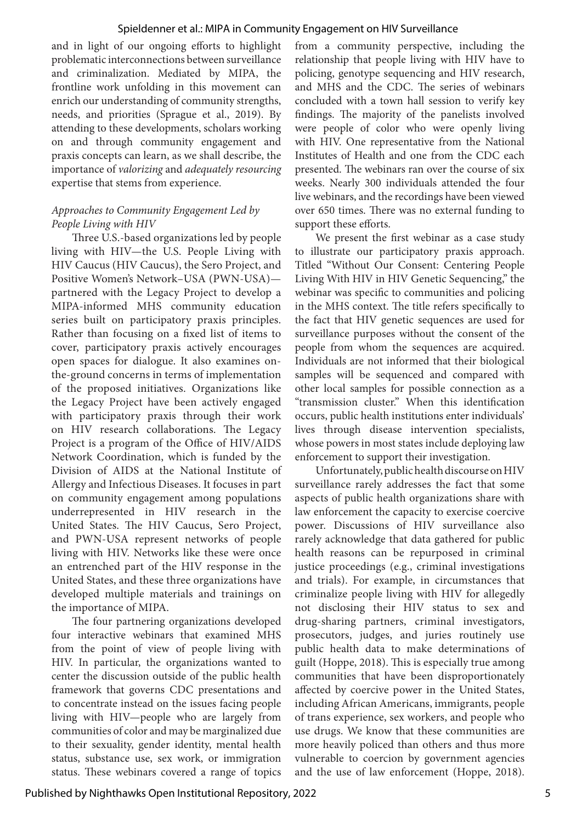#### Spieldenner et al.: MIPA in Community Engagement on HIV Surveillance

and in light of our ongoing efforts to highlight problematic interconnections between surveillance and criminalization. Mediated by MIPA, the frontline work unfolding in this movement can enrich our understanding of community strengths, needs, and priorities (Sprague et al., 2019). By attending to these developments, scholars working on and through community engagement and praxis concepts can learn, as we shall describe, the importance of *valorizing* and *adequately resourcing* expertise that stems from experience.

## *Approaches to Community Engagement Led by People Living with HIV*

Three U.S.-based organizations led by people living with HIV—the U.S. People Living with HIV Caucus (HIV Caucus), the Sero Project, and Positive Women's Network–USA (PWN-USA) partnered with the Legacy Project to develop a MIPA-informed MHS community education series built on participatory praxis principles. Rather than focusing on a fixed list of items to cover, participatory praxis actively encourages open spaces for dialogue. It also examines onthe-ground concerns in terms of implementation of the proposed initiatives. Organizations like the Legacy Project have been actively engaged with participatory praxis through their work on HIV research collaborations. The Legacy Project is a program of the Office of HIV/AIDS Network Coordination, which is funded by the Division of AIDS at the National Institute of Allergy and Infectious Diseases. It focuses in part on community engagement among populations underrepresented in HIV research in the United States. The HIV Caucus, Sero Project, and PWN-USA represent networks of people living with HIV. Networks like these were once an entrenched part of the HIV response in the United States, and these three organizations have developed multiple materials and trainings on the importance of MIPA.

The four partnering organizations developed four interactive webinars that examined MHS from the point of view of people living with HIV. In particular, the organizations wanted to center the discussion outside of the public health framework that governs CDC presentations and to concentrate instead on the issues facing people living with HIV—people who are largely from communities of color and may be marginalized due to their sexuality, gender identity, mental health status, substance use, sex work, or immigration status. These webinars covered a range of topics

from a community perspective, including the relationship that people living with HIV have to policing, genotype sequencing and HIV research, and MHS and the CDC. The series of webinars concluded with a town hall session to verify key findings. The majority of the panelists involved were people of color who were openly living with HIV. One representative from the National Institutes of Health and one from the CDC each presented. The webinars ran over the course of six weeks. Nearly 300 individuals attended the four live webinars, and the recordings have been viewed over 650 times. There was no external funding to support these efforts.

We present the first webinar as a case study to illustrate our participatory praxis approach. Titled "Without Our Consent: Centering People Living With HIV in HIV Genetic Sequencing," the webinar was specific to communities and policing in the MHS context. The title refers specifically to the fact that HIV genetic sequences are used for surveillance purposes without the consent of the people from whom the sequences are acquired. Individuals are not informed that their biological samples will be sequenced and compared with other local samples for possible connection as a "transmission cluster." When this identification occurs, public health institutions enter individuals' lives through disease intervention specialists, whose powers in most states include deploying law enforcement to support their investigation.

Unfortunately, public health discourse on HIV surveillance rarely addresses the fact that some aspects of public health organizations share with law enforcement the capacity to exercise coercive power. Discussions of HIV surveillance also rarely acknowledge that data gathered for public health reasons can be repurposed in criminal justice proceedings (e.g., criminal investigations and trials). For example, in circumstances that criminalize people living with HIV for allegedly not disclosing their HIV status to sex and drug-sharing partners, criminal investigators, prosecutors, judges, and juries routinely use public health data to make determinations of guilt (Hoppe, 2018). This is especially true among communities that have been disproportionately affected by coercive power in the United States, including African Americans, immigrants, people of trans experience, sex workers, and people who use drugs. We know that these communities are more heavily policed than others and thus more vulnerable to coercion by government agencies and the use of law enforcement (Hoppe, 2018).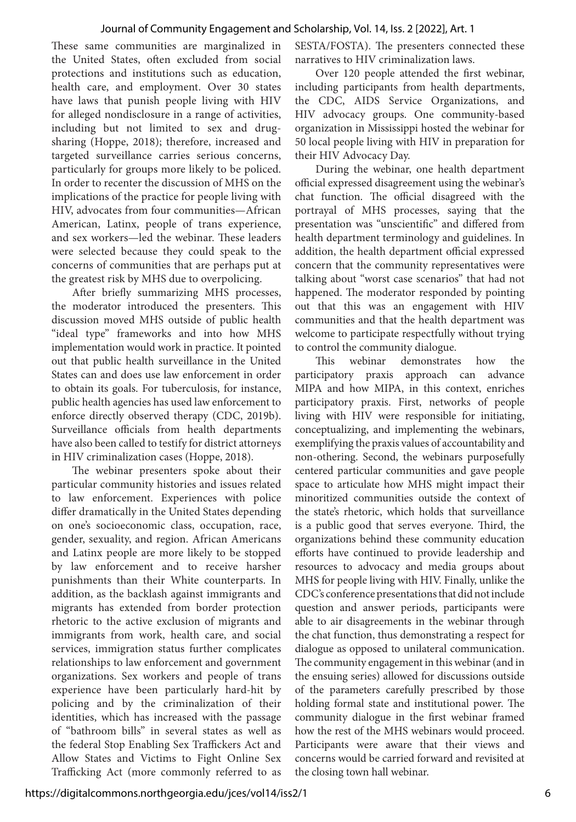#### Journal of Community Engagement and Scholarship, Vol. 14, Iss. 2 [2022], Art. 1

These same communities are marginalized in the United States, often excluded from social protections and institutions such as education, health care, and employment. Over 30 states have laws that punish people living with HIV for alleged nondisclosure in a range of activities, including but not limited to sex and drugsharing (Hoppe, 2018); therefore, increased and targeted surveillance carries serious concerns, particularly for groups more likely to be policed. In order to recenter the discussion of MHS on the implications of the practice for people living with HIV, advocates from four communities—African American, Latinx, people of trans experience, and sex workers—led the webinar. These leaders were selected because they could speak to the concerns of communities that are perhaps put at the greatest risk by MHS due to overpolicing.

After briefly summarizing MHS processes, the moderator introduced the presenters. This discussion moved MHS outside of public health "ideal type" frameworks and into how MHS implementation would work in practice. It pointed out that public health surveillance in the United States can and does use law enforcement in order to obtain its goals. For tuberculosis, for instance, public health agencies has used law enforcement to enforce directly observed therapy (CDC, 2019b). Surveillance officials from health departments have also been called to testify for district attorneys in HIV criminalization cases (Hoppe, 2018).

The webinar presenters spoke about their particular community histories and issues related to law enforcement. Experiences with police differ dramatically in the United States depending on one's socioeconomic class, occupation, race, gender, sexuality, and region. African Americans and Latinx people are more likely to be stopped by law enforcement and to receive harsher punishments than their White counterparts. In addition, as the backlash against immigrants and migrants has extended from border protection rhetoric to the active exclusion of migrants and immigrants from work, health care, and social services, immigration status further complicates relationships to law enforcement and government organizations. Sex workers and people of trans experience have been particularly hard-hit by policing and by the criminalization of their identities, which has increased with the passage of "bathroom bills" in several states as well as the federal Stop Enabling Sex Traffickers Act and Allow States and Victims to Fight Online Sex Trafficking Act (more commonly referred to as

SESTA/FOSTA). The presenters connected these narratives to HIV criminalization laws.

Over 120 people attended the first webinar, including participants from health departments, the CDC, AIDS Service Organizations, and HIV advocacy groups. One community-based organization in Mississippi hosted the webinar for 50 local people living with HIV in preparation for their HIV Advocacy Day.

During the webinar, one health department official expressed disagreement using the webinar's chat function. The official disagreed with the portrayal of MHS processes, saying that the presentation was "unscientific" and differed from health department terminology and guidelines. In addition, the health department official expressed concern that the community representatives were talking about "worst case scenarios" that had not happened. The moderator responded by pointing out that this was an engagement with HIV communities and that the health department was welcome to participate respectfully without trying to control the community dialogue.

This webinar demonstrates how the participatory praxis approach can advance MIPA and how MIPA, in this context, enriches participatory praxis. First, networks of people living with HIV were responsible for initiating, conceptualizing, and implementing the webinars, exemplifying the praxis values of accountability and non-othering. Second, the webinars purposefully centered particular communities and gave people space to articulate how MHS might impact their minoritized communities outside the context of the state's rhetoric, which holds that surveillance is a public good that serves everyone. Third, the organizations behind these community education efforts have continued to provide leadership and resources to advocacy and media groups about MHS for people living with HIV. Finally, unlike the CDC's conference presentations that did not include question and answer periods, participants were able to air disagreements in the webinar through the chat function, thus demonstrating a respect for dialogue as opposed to unilateral communication. The community engagement in this webinar (and in the ensuing series) allowed for discussions outside of the parameters carefully prescribed by those holding formal state and institutional power. The community dialogue in the first webinar framed how the rest of the MHS webinars would proceed. Participants were aware that their views and concerns would be carried forward and revisited at the closing town hall webinar.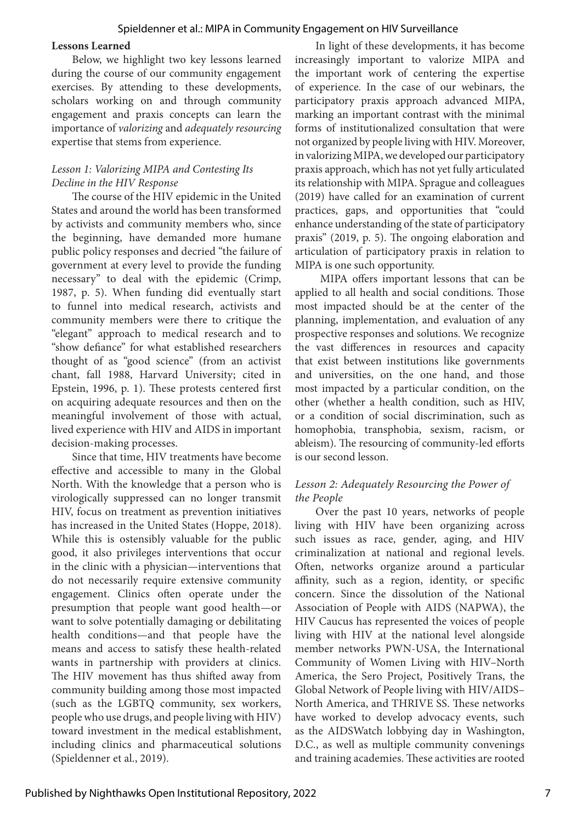#### Spieldenner et al.: MIPA in Community Engagement on HIV Surveillance

#### **Lessons Learned**

Below, we highlight two key lessons learned during the course of our community engagement exercises. By attending to these developments, scholars working on and through community engagement and praxis concepts can learn the importance of *valorizing* and *adequately resourcing* expertise that stems from experience.

## *Lesson 1: Valorizing MIPA and Contesting Its Decline in the HIV Response*

The course of the HIV epidemic in the United States and around the world has been transformed by activists and community members who, since the beginning, have demanded more humane public policy responses and decried "the failure of government at every level to provide the funding necessary" to deal with the epidemic (Crimp, 1987, p. 5). When funding did eventually start to funnel into medical research, activists and community members were there to critique the "elegant" approach to medical research and to "show defiance" for what established researchers thought of as "good science" (from an activist chant, fall 1988, Harvard University; cited in Epstein, 1996, p. 1). These protests centered first on acquiring adequate resources and then on the meaningful involvement of those with actual, lived experience with HIV and AIDS in important decision-making processes.

Since that time, HIV treatments have become effective and accessible to many in the Global North. With the knowledge that a person who is virologically suppressed can no longer transmit HIV, focus on treatment as prevention initiatives has increased in the United States (Hoppe, 2018). While this is ostensibly valuable for the public good, it also privileges interventions that occur in the clinic with a physician—interventions that do not necessarily require extensive community engagement. Clinics often operate under the presumption that people want good health—or want to solve potentially damaging or debilitating health conditions—and that people have the means and access to satisfy these health-related wants in partnership with providers at clinics. The HIV movement has thus shifted away from community building among those most impacted (such as the LGBTQ community, sex workers, people who use drugs, and people living with HIV) toward investment in the medical establishment, including clinics and pharmaceutical solutions (Spieldenner et al., 2019).

In light of these developments, it has become increasingly important to valorize MIPA and the important work of centering the expertise of experience. In the case of our webinars, the participatory praxis approach advanced MIPA, marking an important contrast with the minimal forms of institutionalized consultation that were not organized by people living with HIV. Moreover, in valorizing MIPA, we developed our participatory praxis approach, which has not yet fully articulated its relationship with MIPA. Sprague and colleagues (2019) have called for an examination of current practices, gaps, and opportunities that "could enhance understanding of the state of participatory praxis" (2019, p. 5). The ongoing elaboration and articulation of participatory praxis in relation to MIPA is one such opportunity.

 MIPA offers important lessons that can be applied to all health and social conditions. Those most impacted should be at the center of the planning, implementation, and evaluation of any prospective responses and solutions. We recognize the vast differences in resources and capacity that exist between institutions like governments and universities, on the one hand, and those most impacted by a particular condition, on the other (whether a health condition, such as HIV, or a condition of social discrimination, such as homophobia, transphobia, sexism, racism, or ableism). The resourcing of community-led efforts is our second lesson.

## *Lesson 2: Adequately Resourcing the Power of the People*

Over the past 10 years, networks of people living with HIV have been organizing across such issues as race, gender, aging, and HIV criminalization at national and regional levels. Often, networks organize around a particular affinity, such as a region, identity, or specific concern. Since the dissolution of the National Association of People with AIDS (NAPWA), the HIV Caucus has represented the voices of people living with HIV at the national level alongside member networks PWN-USA, the International Community of Women Living with HIV–North America, the Sero Project, Positively Trans, the Global Network of People living with HIV/AIDS– North America, and THRIVE SS. These networks have worked to develop advocacy events, such as the AIDSWatch lobbying day in Washington, D.C., as well as multiple community convenings and training academies. These activities are rooted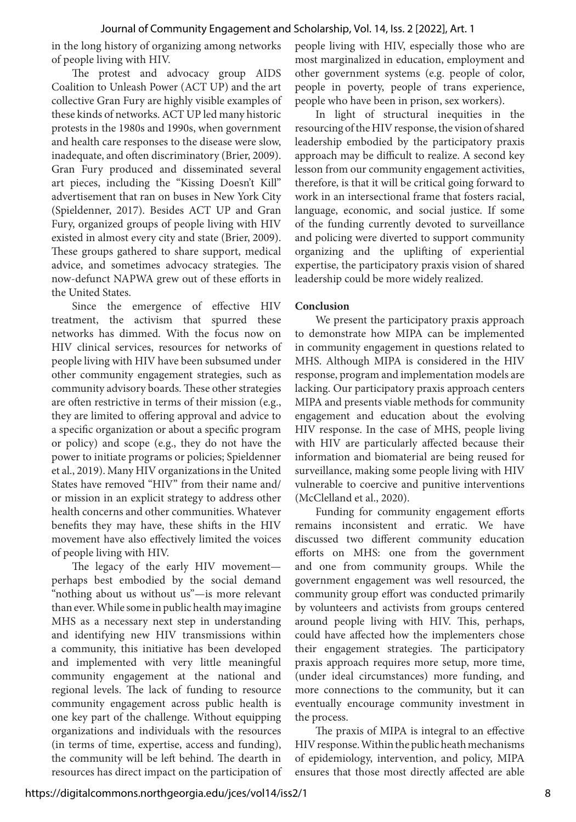in the long history of organizing among networks of people living with HIV.

The protest and advocacy group AIDS Coalition to Unleash Power (ACT UP) and the art collective Gran Fury are highly visible examples of these kinds of networks. ACT UP led many historic protests in the 1980s and 1990s, when government and health care responses to the disease were slow, inadequate, and often discriminatory (Brier, 2009). Gran Fury produced and disseminated several art pieces, including the "Kissing Doesn't Kill" advertisement that ran on buses in New York City (Spieldenner, 2017). Besides ACT UP and Gran Fury, organized groups of people living with HIV existed in almost every city and state (Brier, 2009). These groups gathered to share support, medical advice, and sometimes advocacy strategies. The now-defunct NAPWA grew out of these efforts in the United States.

Since the emergence of effective HIV treatment, the activism that spurred these networks has dimmed. With the focus now on HIV clinical services, resources for networks of people living with HIV have been subsumed under other community engagement strategies, such as community advisory boards. These other strategies are often restrictive in terms of their mission (e.g., they are limited to offering approval and advice to a specific organization or about a specific program or policy) and scope (e.g., they do not have the power to initiate programs or policies; Spieldenner et al., 2019). Many HIV organizations in the United States have removed "HIV" from their name and/ or mission in an explicit strategy to address other health concerns and other communities. Whatever benefits they may have, these shifts in the HIV movement have also effectively limited the voices of people living with HIV.

The legacy of the early HIV movement perhaps best embodied by the social demand "nothing about us without us"—is more relevant than ever. While some in public health may imagine MHS as a necessary next step in understanding and identifying new HIV transmissions within a community, this initiative has been developed and implemented with very little meaningful community engagement at the national and regional levels. The lack of funding to resource community engagement across public health is one key part of the challenge. Without equipping organizations and individuals with the resources (in terms of time, expertise, access and funding), the community will be left behind. The dearth in resources has direct impact on the participation of people living with HIV, especially those who are most marginalized in education, employment and other government systems (e.g. people of color, people in poverty, people of trans experience, people who have been in prison, sex workers).

In light of structural inequities in the resourcing of the HIV response, the vision of shared leadership embodied by the participatory praxis approach may be difficult to realize. A second key lesson from our community engagement activities, therefore, is that it will be critical going forward to work in an intersectional frame that fosters racial, language, economic, and social justice. If some of the funding currently devoted to surveillance and policing were diverted to support community organizing and the uplifting of experiential expertise, the participatory praxis vision of shared leadership could be more widely realized.

#### **Conclusion**

We present the participatory praxis approach to demonstrate how MIPA can be implemented in community engagement in questions related to MHS. Although MIPA is considered in the HIV response, program and implementation models are lacking. Our participatory praxis approach centers MIPA and presents viable methods for community engagement and education about the evolving HIV response. In the case of MHS, people living with HIV are particularly affected because their information and biomaterial are being reused for surveillance, making some people living with HIV vulnerable to coercive and punitive interventions (McClelland et al., 2020).

Funding for community engagement efforts remains inconsistent and erratic. We have discussed two different community education efforts on MHS: one from the government and one from community groups. While the government engagement was well resourced, the community group effort was conducted primarily by volunteers and activists from groups centered around people living with HIV. This, perhaps, could have affected how the implementers chose their engagement strategies. The participatory praxis approach requires more setup, more time, (under ideal circumstances) more funding, and more connections to the community, but it can eventually encourage community investment in the process.

The praxis of MIPA is integral to an effective HIV response. Within the public heath mechanisms of epidemiology, intervention, and policy, MIPA ensures that those most directly affected are able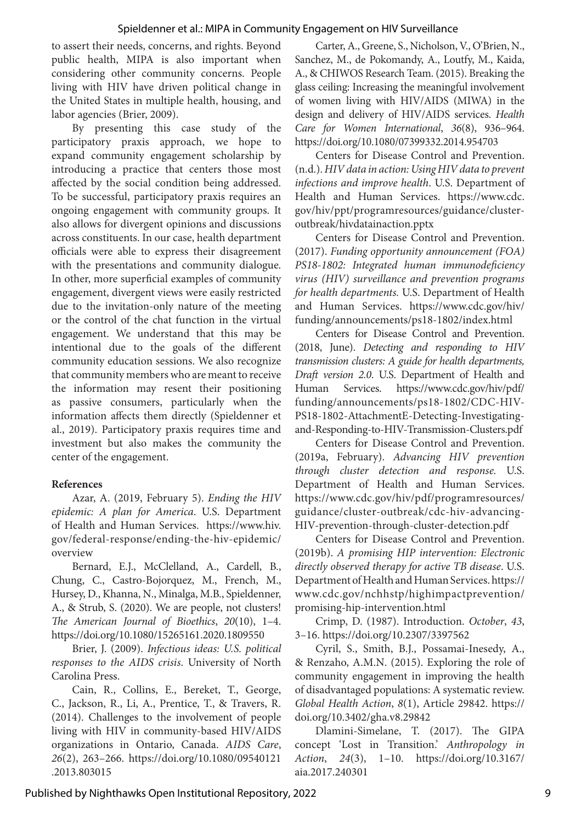to assert their needs, concerns, and rights. Beyond public health, MIPA is also important when considering other community concerns. People living with HIV have driven political change in the United States in multiple health, housing, and labor agencies (Brier, 2009).

By presenting this case study of the participatory praxis approach, we hope to expand community engagement scholarship by introducing a practice that centers those most affected by the social condition being addressed. To be successful, participatory praxis requires an ongoing engagement with community groups. It also allows for divergent opinions and discussions across constituents. In our case, health department officials were able to express their disagreement with the presentations and community dialogue. In other, more superficial examples of community engagement, divergent views were easily restricted due to the invitation-only nature of the meeting or the control of the chat function in the virtual engagement. We understand that this may be intentional due to the goals of the different community education sessions. We also recognize that community members who are meant to receive the information may resent their positioning as passive consumers, particularly when the information affects them directly (Spieldenner et al., 2019). Participatory praxis requires time and investment but also makes the community the center of the engagement.

# **References**

Azar, A. (2019, February 5). *Ending the HIV epidemic: A plan for America*. U.S. Department of Health and Human Services. https://www.hiv. gov/federal-response/ending-the-hiv-epidemic/ overview

Bernard, E.J., McClelland, A., Cardell, B., Chung, C., Castro-Bojorquez, M., French, M., Hursey, D., Khanna, N., Minalga, M.B., Spieldenner, A., & Strub, S. (2020). We are people, not clusters! *The American Journal of Bioethics*, *20*(10), 1–4. https://doi.org/10.1080/15265161.2020.1809550

Brier, J. (2009). *Infectious ideas: U.S. political responses to the AIDS crisis*. University of North Carolina Press.

Cain, R., Collins, E., Bereket, T., George, C., Jackson, R., Li, A., Prentice, T., & Travers, R. (2014). Challenges to the involvement of people living with HIV in community-based HIV/AIDS organizations in Ontario, Canada. *AIDS Care*, *26*(2), 263–266. https://doi.org/10.1080/09540121 .2013.803015

Carter, A., Greene, S., Nicholson, V., O'Brien, N., Sanchez, M., de Pokomandy, A., Loutfy, M., Kaida, A., & CHIWOS Research Team. (2015). Breaking the glass ceiling: Increasing the meaningful involvement of women living with HIV/AIDS (MIWA) in the design and delivery of HIV/AIDS services. *Health Care for Women International*, *36*(8), 936–964. https://doi.org/10.1080/07399332.2014.954703

Centers for Disease Control and Prevention. (n.d.). *HIV data in action: Using HIV data to prevent infections and improve health*. U.S. Department of Health and Human Services. https://www.cdc. gov/hiv/ppt/programresources/guidance/clusteroutbreak/hivdatainaction.pptx

Centers for Disease Control and Prevention. (2017). *Funding opportunity announcement (FOA) PS18-1802: Integrated human immunodeficiency virus (HIV) surveillance and prevention programs for health departments.* U.S. Department of Health and Human Services. https://www.cdc.gov/hiv/ funding/announcements/ps18-1802/index.html

Centers for Disease Control and Prevention. (2018, June). *Detecting and responding to HIV transmission clusters: A guide for health departments, Draft version 2.0*. U.S. Department of Health and Human Services. https://www.cdc.gov/hiv/pdf/ funding/announcements/ps18-1802/CDC-HIV-PS18-1802-AttachmentE-Detecting-Investigatingand-Responding-to-HIV-Transmission-Clusters.pdf

Centers for Disease Control and Prevention. (2019a, February). *Advancing HIV prevention through cluster detection and response.* U.S. Department of Health and Human Services. https://www.cdc.gov/hiv/pdf/programresources/ guidance/cluster-outbreak/cdc-hiv-advancing-HIV-prevention-through-cluster-detection.pdf

Centers for Disease Control and Prevention. (2019b). *A promising HIP intervention: Electronic directly observed therapy for active TB disease*. U.S. Department of Health and Human Services. https:// www.cdc.gov/nchhstp/highimpactprevention/ promising-hip-intervention.html

Crimp, D. (1987). Introduction. *October*, *43*, 3–16. https://doi.org/10.2307/3397562

Cyril, S., Smith, B.J., Possamai-Inesedy, A., & Renzaho, A.M.N. (2015). Exploring the role of community engagement in improving the health of disadvantaged populations: A systematic review. *Global Health Action*, *8*(1), Article 29842. https:// doi.org/10.3402/gha.v8.29842

Dlamini-Simelane, T. (2017). The GIPA concept 'Lost in Transition.' *Anthropology in Action*, *24*(3), 1–10. https://doi.org/10.3167/ aia.2017.240301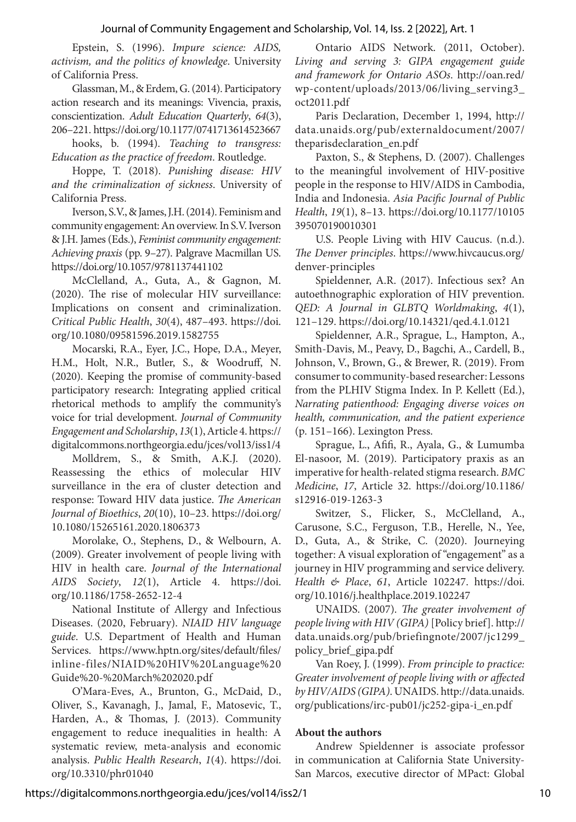Epstein, S. (1996). *Impure science: AIDS, activism, and the politics of knowledge*. University of California Press.

Glassman, M., & Erdem, G. (2014). Participatory action research and its meanings: Vivencia, praxis, conscientization. *Adult Education Quarterly*, *64*(3), 206–221. https://doi.org/10.1177/0741713614523667

hooks, b. (1994). *Teaching to transgress: Education as the practice of freedom*. Routledge.

Hoppe, T. (2018). *Punishing disease: HIV and the criminalization of sickness*. University of California Press.

Iverson, S.V., & James, J.H. (2014). Feminism and community engagement: An overview. In S.V. Iverson & J.H. James (Eds.), *Feminist community engagement: Achieving praxis* (pp. 9–27). Palgrave Macmillan US. https://doi.org/10.1057/9781137441102

McClelland, A., Guta, A., & Gagnon, M. (2020). The rise of molecular HIV surveillance: Implications on consent and criminalization. *Critical Public Health*, *30*(4), 487–493. https://doi. org/10.1080/09581596.2019.1582755

Mocarski, R.A., Eyer, J.C., Hope, D.A., Meyer, H.M., Holt, N.R., Butler, S., & Woodruff, N. (2020). Keeping the promise of community-based participatory research: Integrating applied critical rhetorical methods to amplify the community's voice for trial development. *Journal of Community Engagement and Scholarship*, *13*(1), Article 4. https:// digitalcommons.northgeorgia.edu/jces/vol13/iss1/4

Molldrem, S., & Smith, A.K.J. (2020). Reassessing the ethics of molecular HIV surveillance in the era of cluster detection and response: Toward HIV data justice. *The American Journal of Bioethics*, *20*(10), 10–23. https://doi.org/ 10.1080/15265161.2020.1806373

Morolake, O., Stephens, D., & Welbourn, A. (2009). Greater involvement of people living with HIV in health care. *Journal of the International AIDS Society*, *12*(1), Article 4. https://doi. org/10.1186/1758-2652-12-4

National Institute of Allergy and Infectious Diseases. (2020, February). *NIAID HIV language guide*. U.S. Department of Health and Human Services. https://www.hptn.org/sites/default/files/ inline-files/NIAID%20HIV%20Language%20 Guide%20-%20March%202020.pdf

O'Mara-Eves, A., Brunton, G., McDaid, D., Oliver, S., Kavanagh, J., Jamal, F., Matosevic, T., Harden, A., & Thomas, J. (2013). Community engagement to reduce inequalities in health: A systematic review, meta-analysis and economic analysis. *Public Health Research*, *1*(4). https://doi. org/10.3310/phr01040

Ontario AIDS Network. (2011, October). *Living and serving 3: GIPA engagement guide and framework for Ontario ASOs*. http://oan.red/ wp-content/uploads/2013/06/living\_serving3\_ oct2011.pdf

Paris Declaration, December 1, 1994, http:// data.unaids.org/pub/externaldocument/2007/ theparisdeclaration\_en.pdf

Paxton, S., & Stephens, D. (2007). Challenges to the meaningful involvement of HIV-positive people in the response to HIV/AIDS in Cambodia, India and Indonesia. *Asia Pacific Journal of Public Health*, *19*(1), 8–13. https://doi.org/10.1177/10105 395070190010301

U.S. People Living with HIV Caucus. (n.d.). *The Denver principles*. https://www.hivcaucus.org/ denver-principles

Spieldenner, A.R. (2017). Infectious sex? An autoethnographic exploration of HIV prevention. *QED: A Journal in GLBTQ Worldmaking*, *4*(1), 121–129. https://doi.org/10.14321/qed.4.1.0121

Spieldenner, A.R., Sprague, L., Hampton, A., Smith-Davis, M., Peavy, D., Bagchi, A., Cardell, B., Johnson, V., Brown, G., & Brewer, R. (2019). From consumer to community-based researcher: Lessons from the PLHIV Stigma Index. In P. Kellett (Ed.), *Narrating patienthood: Engaging diverse voices on health, communication, and the patient experience*  (p. 151–166). Lexington Press.

Sprague, L., Afifi, R., Ayala, G., & Lumumba El-nasoor, M. (2019). Participatory praxis as an imperative for health-related stigma research. *BMC Medicine*, *17*, Article 32. https://doi.org/10.1186/ s12916-019-1263-3

Switzer, S., Flicker, S., McClelland, A., Carusone, S.C., Ferguson, T.B., Herelle, N., Yee, D., Guta, A., & Strike, C. (2020). Journeying together: A visual exploration of "engagement" as a journey in HIV programming and service delivery. *Health & Place*, *61*, Article 102247. https://doi. org/10.1016/j.healthplace.2019.102247

UNAIDS. (2007). *The greater involvement of people living with HIV (GIPA)* [Policy brief]. http:// data.unaids.org/pub/briefingnote/2007/jc1299\_ policy\_brief\_gipa.pdf

Van Roey, J. (1999). *From principle to practice: Greater involvement of people living with or affected by HIV/AIDS (GIPA)*. UNAIDS. http://data.unaids. org/publications/irc-pub01/jc252-gipa-i\_en.pdf

# **About the authors**

Andrew Spieldenner is associate professor in communication at California State University-San Marcos, executive director of MPact: Global